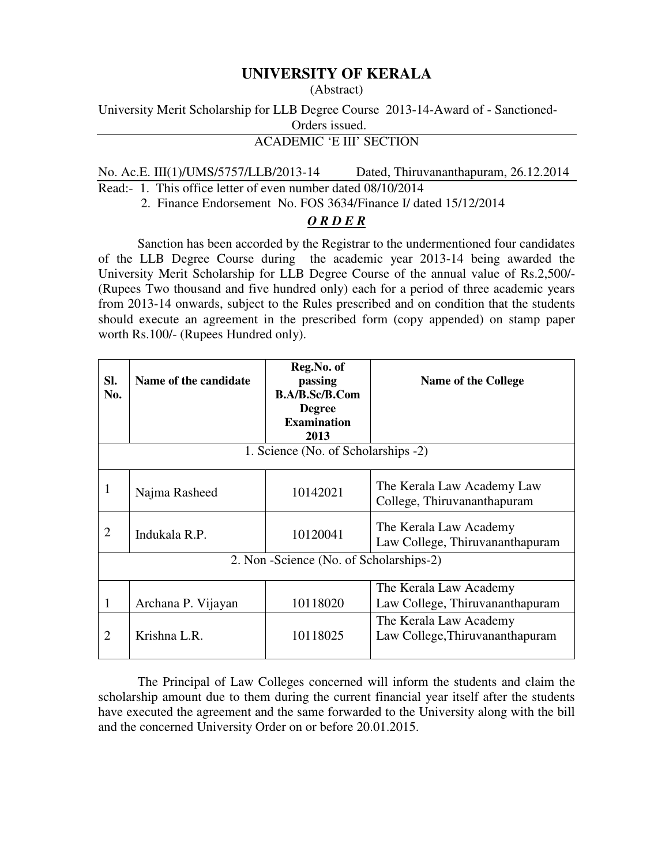## **UNIVERSITY OF KERALA**

## (Abstract)

University Merit Scholarship for LLB Degree Course 2013-14-Award of - Sanctioned-

Orders issued.

## ACADEMIC 'E III' SECTION

No. Ac.E. III(1)/UMS/5757/LLB/2013-14 Dated, Thiruvananthapuram, 26.12.2014

Read:- 1. This office letter of even number dated 08/10/2014

2. Finance Endorsement No. FOS 3634/Finance I/ dated 15/12/2014

## *O R D E R*

Sanction has been accorded by the Registrar to the undermentioned four candidates of the LLB Degree Course during the academic year 2013-14 being awarded the University Merit Scholarship for LLB Degree Course of the annual value of Rs.2,500/- (Rupees Two thousand and five hundred only) each for a period of three academic years from 2013-14 onwards, subject to the Rules prescribed and on condition that the students should execute an agreement in the prescribed form (copy appended) on stamp paper worth Rs.100/- (Rupees Hundred only).

| SI.<br>No.                               | Name of the candidate | Reg.No. of<br>passing<br><b>B.A/B.Sc/B.Com</b><br><b>Degree</b><br><b>Examination</b><br>2013 | <b>Name of the College</b>                                                          |
|------------------------------------------|-----------------------|-----------------------------------------------------------------------------------------------|-------------------------------------------------------------------------------------|
| 1. Science (No. of Scholarships -2)      |                       |                                                                                               |                                                                                     |
| J.                                       | Najma Rasheed         | 10142021                                                                                      | The Kerala Law Academy Law<br>College, Thiruvananthapuram                           |
| 2                                        | Indukala R.P.         | 10120041                                                                                      | The Kerala Law Academy<br>Law College, Thiruvananthapuram                           |
| 2. Non - Science (No. of Scholarships-2) |                       |                                                                                               |                                                                                     |
|                                          | Archana P. Vijayan    | 10118020                                                                                      | The Kerala Law Academy<br>Law College, Thiruvananthapuram<br>The Kerala Law Academy |
| 2                                        | Krishna L.R.          | 10118025                                                                                      | Law College, Thiruvananthapuram                                                     |

 The Principal of Law Colleges concerned will inform the students and claim the scholarship amount due to them during the current financial year itself after the students have executed the agreement and the same forwarded to the University along with the bill and the concerned University Order on or before 20.01.2015.